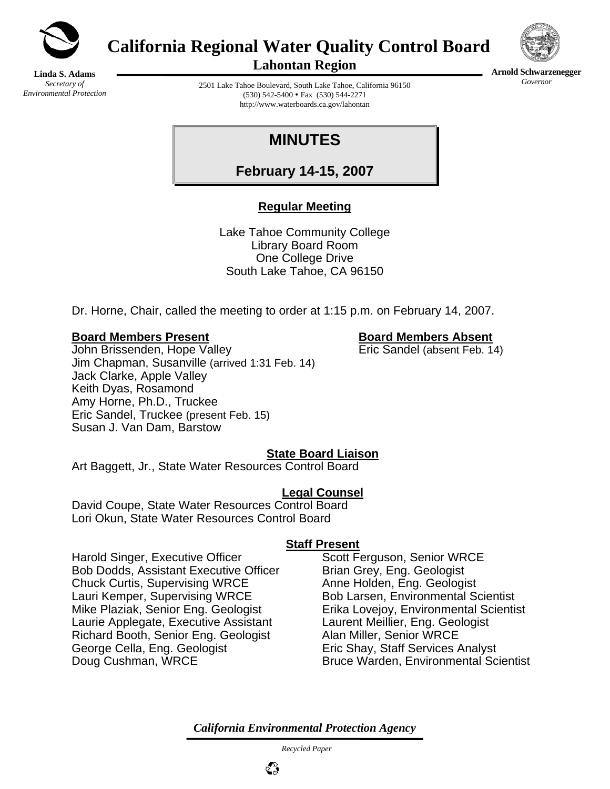

**California Regional Water Quality Control Board** 



**Arnold Schwarzenegger** *Governor* 

**Linda S. Adams**  *Secretary of Environmental Protection*  **Lahontan Region** 

2501 Lake Tahoe Boulevard, South Lake Tahoe, California 96150  $(530)$  542-5400 • Fax  $(530)$  544-2271 http://www.waterboards.ca.gov/lahontan

# **MINUTES**

**February 14-15, 2007**

## **Regular Meeting**

Lake Tahoe Community College Library Board Room One College Drive South Lake Tahoe, CA 96150

Dr. Horne, Chair, called the meeting to order at 1:15 p.m. on February 14, 2007.

#### **Board Members Present Board Members Absent**

John Brissenden, Hope Valley **Eric Sandel** (absent Feb. 14) Jim Chapman, Susanville (arrived 1:31 Feb. 14) Jack Clarke, Apple Valley Keith Dyas, Rosamond Amy Horne, Ph.D., Truckee Eric Sandel, Truckee (present Feb. 15) Susan J. Van Dam, Barstow

#### **State Board Liaison**

Art Baggett, Jr., State Water Resources Control Board

#### **Legal Counsel**

David Coupe, State Water Resources Control Board Lori Okun, State Water Resources Control Board

#### **Staff Present**

Harold Singer, Executive Officer Scott Ferguson, Senior WRCE Bob Dodds, Assistant Executive Officer Brian Grey, Eng. Geologist Chuck Curtis, Supervising WRCE Anne Holden, Eng. Geologist Lauri Kemper, Supervising WRCE Bob Larsen, Environmental Scientist Mike Plaziak, Senior Eng. Geologist Erika Lovejoy, Environmental Scientist Laurie Applegate, Executive Assistant Laurent Meillier, Eng. Geologist Richard Booth, Senior Eng. Geologist Alan Miller, Senior WRCE George Cella, Eng. Geologist **Eric Shay, Staff Services Analyst** Doug Cushman, WRCE Bruce Warden, Environmental Scientist

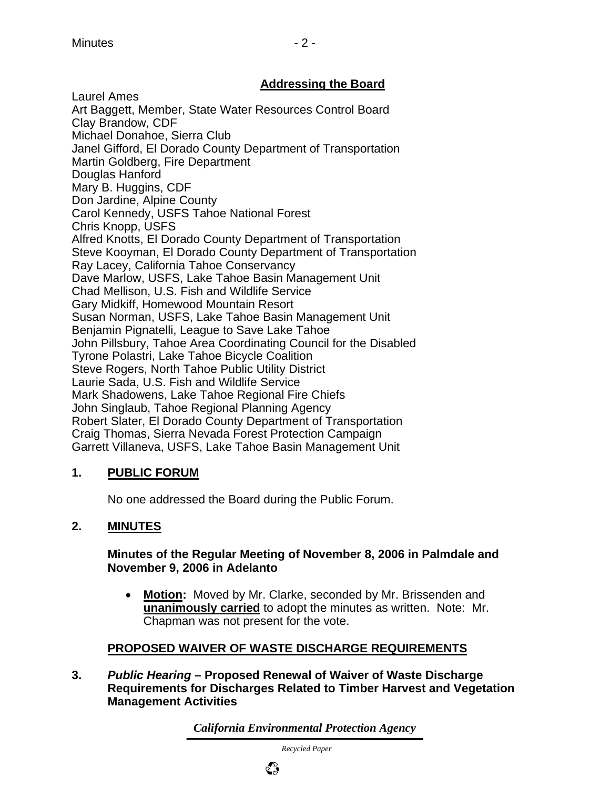## **Addressing the Board**

Laurel Ames Art Baggett, Member, State Water Resources Control Board Clay Brandow, CDF Michael Donahoe, Sierra Club Janel Gifford, El Dorado County Department of Transportation Martin Goldberg, Fire Department Douglas Hanford Mary B. Huggins, CDF Don Jardine, Alpine County Carol Kennedy, USFS Tahoe National Forest Chris Knopp, USFS Alfred Knotts, El Dorado County Department of Transportation Steve Kooyman, El Dorado County Department of Transportation Ray Lacey, California Tahoe Conservancy Dave Marlow, USFS, Lake Tahoe Basin Management Unit Chad Mellison, U.S. Fish and Wildlife Service Gary Midkiff, Homewood Mountain Resort Susan Norman, USFS, Lake Tahoe Basin Management Unit Benjamin Pignatelli, League to Save Lake Tahoe John Pillsbury, Tahoe Area Coordinating Council for the Disabled Tyrone Polastri, Lake Tahoe Bicycle Coalition Steve Rogers, North Tahoe Public Utility District Laurie Sada, U.S. Fish and Wildlife Service Mark Shadowens, Lake Tahoe Regional Fire Chiefs John Singlaub, Tahoe Regional Planning Agency Robert Slater, El Dorado County Department of Transportation Craig Thomas, Sierra Nevada Forest Protection Campaign Garrett Villaneva, USFS, Lake Tahoe Basin Management Unit

## **1. PUBLIC FORUM**

No one addressed the Board during the Public Forum.

## **2. MINUTES**

#### **Minutes of the Regular Meeting of November 8, 2006 in Palmdale and November 9, 2006 in Adelanto**

• **Motion:** Moved by Mr. Clarke, seconded by Mr. Brissenden and **unanimously carried** to adopt the minutes as written. Note: Mr. Chapman was not present for the vote.

## **PROPOSED WAIVER OF WASTE DISCHARGE REQUIREMENTS**

**3.** *Public Hearing* **– Proposed Renewal of Waiver of Waste Discharge Requirements for Discharges Related to Timber Harvest and Vegetation Management Activities** 

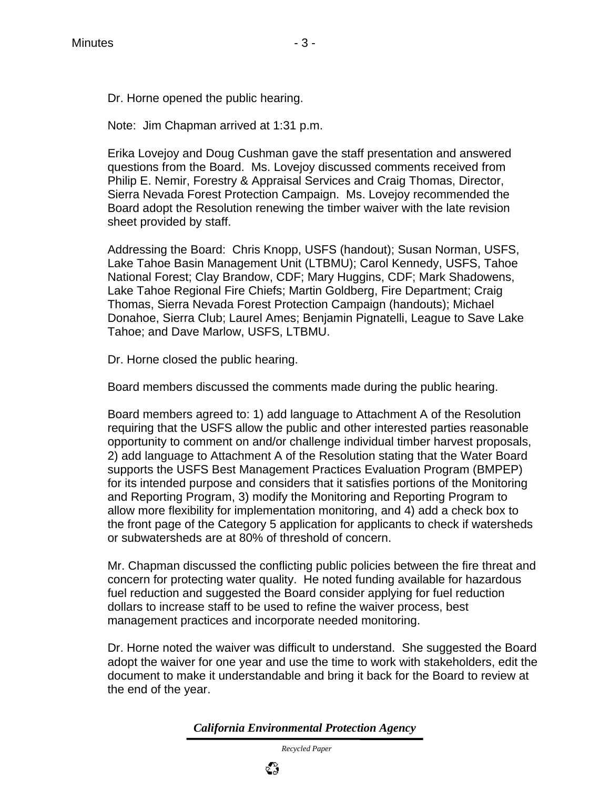Dr. Horne opened the public hearing.

Note: Jim Chapman arrived at 1:31 p.m.

 Erika Lovejoy and Doug Cushman gave the staff presentation and answered questions from the Board. Ms. Lovejoy discussed comments received from Philip E. Nemir, Forestry & Appraisal Services and Craig Thomas, Director, Sierra Nevada Forest Protection Campaign. Ms. Lovejoy recommended the Board adopt the Resolution renewing the timber waiver with the late revision sheet provided by staff.

 Addressing the Board: Chris Knopp, USFS (handout); Susan Norman, USFS, Lake Tahoe Basin Management Unit (LTBMU); Carol Kennedy, USFS, Tahoe National Forest; Clay Brandow, CDF; Mary Huggins, CDF; Mark Shadowens, Lake Tahoe Regional Fire Chiefs; Martin Goldberg, Fire Department; Craig Thomas, Sierra Nevada Forest Protection Campaign (handouts); Michael Donahoe, Sierra Club; Laurel Ames; Benjamin Pignatelli, League to Save Lake Tahoe; and Dave Marlow, USFS, LTBMU.

Dr. Horne closed the public hearing.

Board members discussed the comments made during the public hearing.

 Board members agreed to: 1) add language to Attachment A of the Resolution requiring that the USFS allow the public and other interested parties reasonable opportunity to comment on and/or challenge individual timber harvest proposals, 2) add language to Attachment A of the Resolution stating that the Water Board supports the USFS Best Management Practices Evaluation Program (BMPEP) for its intended purpose and considers that it satisfies portions of the Monitoring and Reporting Program, 3) modify the Monitoring and Reporting Program to allow more flexibility for implementation monitoring, and 4) add a check box to the front page of the Category 5 application for applicants to check if watersheds or subwatersheds are at 80% of threshold of concern.

 Mr. Chapman discussed the conflicting public policies between the fire threat and concern for protecting water quality. He noted funding available for hazardous fuel reduction and suggested the Board consider applying for fuel reduction dollars to increase staff to be used to refine the waiver process, best management practices and incorporate needed monitoring.

 Dr. Horne noted the waiver was difficult to understand. She suggested the Board adopt the waiver for one year and use the time to work with stakeholders, edit the document to make it understandable and bring it back for the Board to review at the end of the year.

*California Environmental Protection Agency*

 *Recycled Paper*

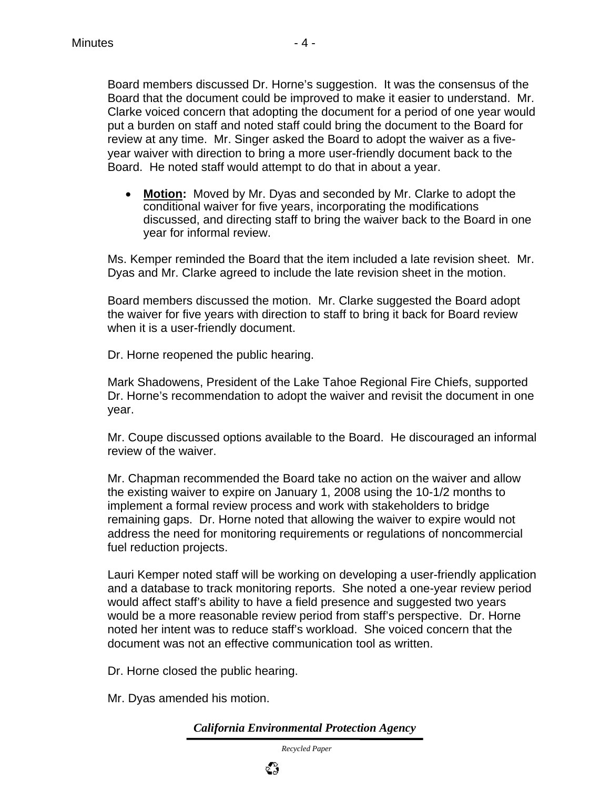Board members discussed Dr. Horne's suggestion. It was the consensus of the Board that the document could be improved to make it easier to understand. Mr. Clarke voiced concern that adopting the document for a period of one year would put a burden on staff and noted staff could bring the document to the Board for review at any time. Mr. Singer asked the Board to adopt the waiver as a fiveyear waiver with direction to bring a more user-friendly document back to the Board. He noted staff would attempt to do that in about a year.

• **Motion:** Moved by Mr. Dyas and seconded by Mr. Clarke to adopt the conditional waiver for five years, incorporating the modifications discussed, and directing staff to bring the waiver back to the Board in one year for informal review.

Ms. Kemper reminded the Board that the item included a late revision sheet. Mr. Dyas and Mr. Clarke agreed to include the late revision sheet in the motion.

Board members discussed the motion. Mr. Clarke suggested the Board adopt the waiver for five years with direction to staff to bring it back for Board review when it is a user-friendly document.

Dr. Horne reopened the public hearing.

Mark Shadowens, President of the Lake Tahoe Regional Fire Chiefs, supported Dr. Horne's recommendation to adopt the waiver and revisit the document in one year.

 Mr. Coupe discussed options available to the Board. He discouraged an informal review of the waiver.

Mr. Chapman recommended the Board take no action on the waiver and allow the existing waiver to expire on January 1, 2008 using the 10-1/2 months to implement a formal review process and work with stakeholders to bridge remaining gaps. Dr. Horne noted that allowing the waiver to expire would not address the need for monitoring requirements or regulations of noncommercial fuel reduction projects.

Lauri Kemper noted staff will be working on developing a user-friendly application and a database to track monitoring reports. She noted a one-year review period would affect staff's ability to have a field presence and suggested two years would be a more reasonable review period from staff's perspective. Dr. Horne noted her intent was to reduce staff's workload. She voiced concern that the document was not an effective communication tool as written.

Dr. Horne closed the public hearing.

Mr. Dyas amended his motion.

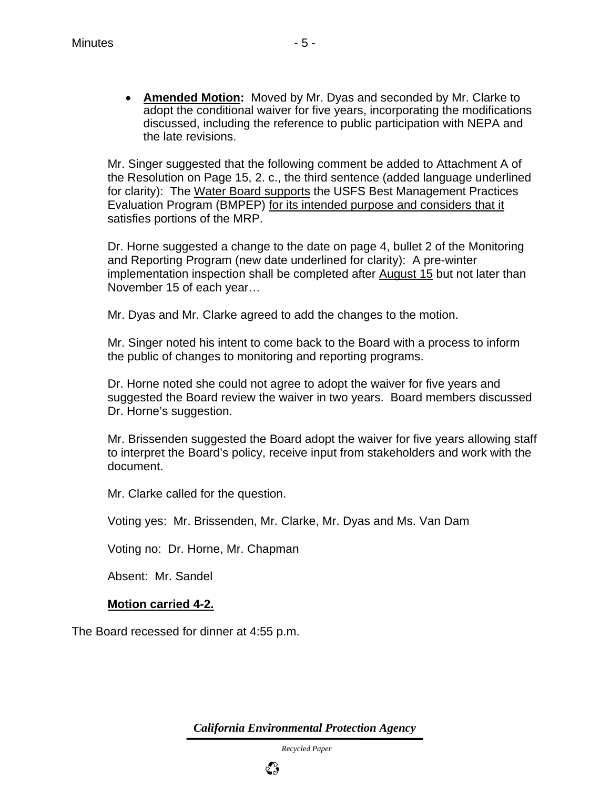• **Amended Motion:** Moved by Mr. Dyas and seconded by Mr. Clarke to adopt the conditional waiver for five years, incorporating the modifications discussed, including the reference to public participation with NEPA and the late revisions.

Mr. Singer suggested that the following comment be added to Attachment A of the Resolution on Page 15, 2. c., the third sentence (added language underlined for clarity): The Water Board supports the USFS Best Management Practices Evaluation Program (BMPEP) for its intended purpose and considers that it satisfies portions of the MRP.

Dr. Horne suggested a change to the date on page 4, bullet 2 of the Monitoring and Reporting Program (new date underlined for clarity): A pre-winter implementation inspection shall be completed after August 15 but not later than November 15 of each year…

Mr. Dyas and Mr. Clarke agreed to add the changes to the motion.

Mr. Singer noted his intent to come back to the Board with a process to inform the public of changes to monitoring and reporting programs.

Dr. Horne noted she could not agree to adopt the waiver for five years and suggested the Board review the waiver in two years. Board members discussed Dr. Horne's suggestion.

Mr. Brissenden suggested the Board adopt the waiver for five years allowing staff to interpret the Board's policy, receive input from stakeholders and work with the document.

Mr. Clarke called for the question.

Voting yes: Mr. Brissenden, Mr. Clarke, Mr. Dyas and Ms. Van Dam

Voting no: Dr. Horne, Mr. Chapman

Absent: Mr. Sandel

#### **Motion carried 4-2.**

The Board recessed for dinner at 4:55 p.m.

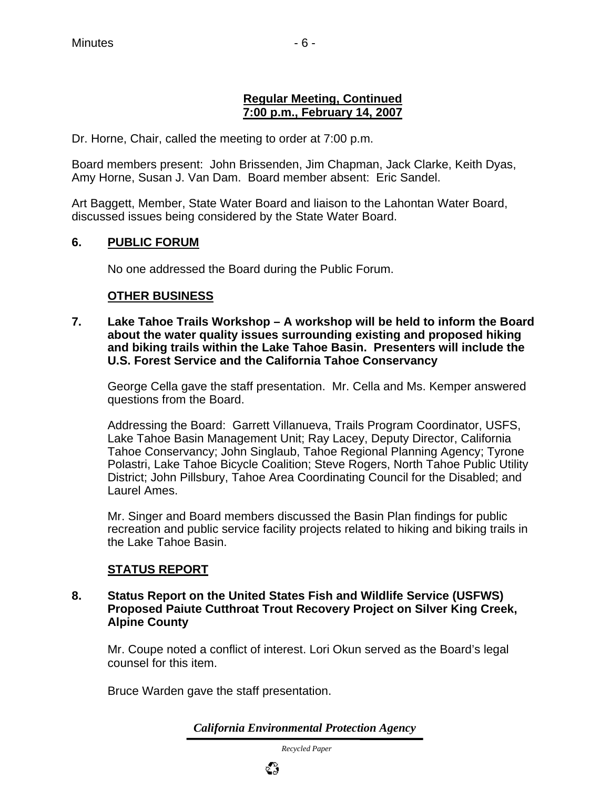#### **Regular Meeting, Continued 7:00 p.m., February 14, 2007**

Dr. Horne, Chair, called the meeting to order at 7:00 p.m.

Board members present: John Brissenden, Jim Chapman, Jack Clarke, Keith Dyas, Amy Horne, Susan J. Van Dam. Board member absent: Eric Sandel.

Art Baggett, Member, State Water Board and liaison to the Lahontan Water Board, discussed issues being considered by the State Water Board.

#### **6. PUBLIC FORUM**

No one addressed the Board during the Public Forum.

#### **OTHER BUSINESS**

**7. Lake Tahoe Trails Workshop – A workshop will be held to inform the Board about the water quality issues surrounding existing and proposed hiking and biking trails within the Lake Tahoe Basin. Presenters will include the U.S. Forest Service and the California Tahoe Conservancy** 

George Cella gave the staff presentation. Mr. Cella and Ms. Kemper answered questions from the Board.

Addressing the Board: Garrett Villanueva, Trails Program Coordinator, USFS, Lake Tahoe Basin Management Unit; Ray Lacey, Deputy Director, California Tahoe Conservancy; John Singlaub, Tahoe Regional Planning Agency; Tyrone Polastri, Lake Tahoe Bicycle Coalition; Steve Rogers, North Tahoe Public Utility District; John Pillsbury, Tahoe Area Coordinating Council for the Disabled; and Laurel Ames.

Mr. Singer and Board members discussed the Basin Plan findings for public recreation and public service facility projects related to hiking and biking trails in the Lake Tahoe Basin.

#### **STATUS REPORT**

#### **8. Status Report on the United States Fish and Wildlife Service (USFWS) Proposed Paiute Cutthroat Trout Recovery Project on Silver King Creek, Alpine County**

 Mr. Coupe noted a conflict of interest. Lori Okun served as the Board's legal counsel for this item.

Bruce Warden gave the staff presentation.

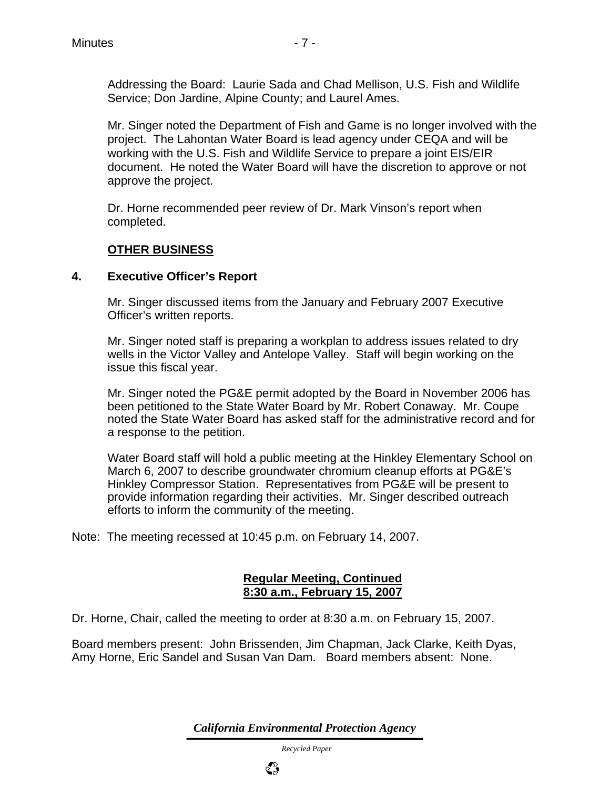Addressing the Board: Laurie Sada and Chad Mellison, U.S. Fish and Wildlife Service; Don Jardine, Alpine County; and Laurel Ames.

 Mr. Singer noted the Department of Fish and Game is no longer involved with the project. The Lahontan Water Board is lead agency under CEQA and will be working with the U.S. Fish and Wildlife Service to prepare a joint EIS/EIR document. He noted the Water Board will have the discretion to approve or not approve the project.

 Dr. Horne recommended peer review of Dr. Mark Vinson's report when completed.

### **OTHER BUSINESS**

#### **4. Executive Officer's Report**

Mr. Singer discussed items from the January and February 2007 Executive Officer's written reports.

Mr. Singer noted staff is preparing a workplan to address issues related to dry wells in the Victor Valley and Antelope Valley. Staff will begin working on the issue this fiscal year.

Mr. Singer noted the PG&E permit adopted by the Board in November 2006 has been petitioned to the State Water Board by Mr. Robert Conaway. Mr. Coupe noted the State Water Board has asked staff for the administrative record and for a response to the petition.

Water Board staff will hold a public meeting at the Hinkley Elementary School on March 6, 2007 to describe groundwater chromium cleanup efforts at PG&E's Hinkley Compressor Station. Representatives from PG&E will be present to provide information regarding their activities. Mr. Singer described outreach efforts to inform the community of the meeting.

Note: The meeting recessed at 10:45 p.m. on February 14, 2007.

#### **Regular Meeting, Continued 8:30 a.m., February 15, 2007**

Dr. Horne, Chair, called the meeting to order at 8:30 a.m. on February 15, 2007.

Board members present: John Brissenden, Jim Chapman, Jack Clarke, Keith Dyas, Amy Horne, Eric Sandel and Susan Van Dam. Board members absent: None.

*California Environmental Protection Agency*

 *Recycled Paper*

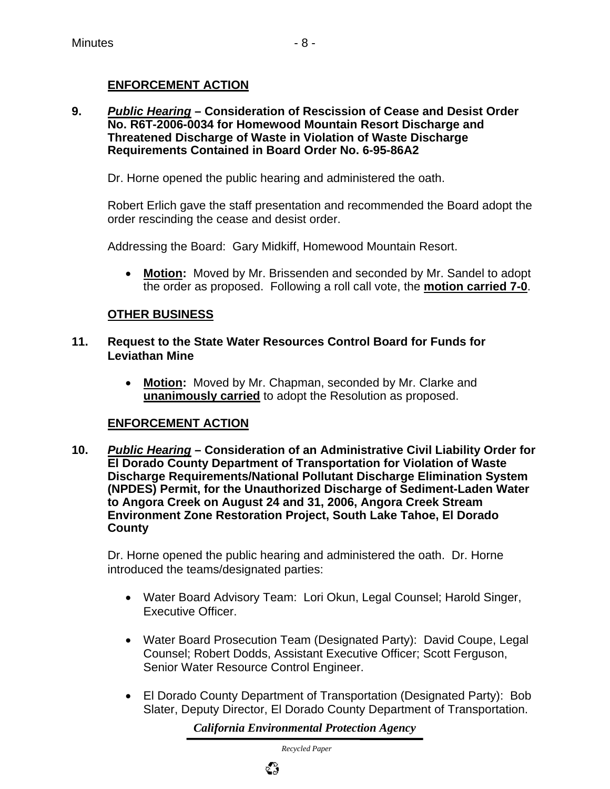#### **ENFORCEMENT ACTION**

**9.** *Public Hearing* **– Consideration of Rescission of Cease and Desist Order No. R6T-2006-0034 for Homewood Mountain Resort Discharge and Threatened Discharge of Waste in Violation of Waste Discharge Requirements Contained in Board Order No. 6-95-86A2** 

Dr. Horne opened the public hearing and administered the oath.

 Robert Erlich gave the staff presentation and recommended the Board adopt the order rescinding the cease and desist order.

Addressing the Board: Gary Midkiff, Homewood Mountain Resort.

• **Motion:** Moved by Mr. Brissenden and seconded by Mr. Sandel to adopt the order as proposed. Following a roll call vote, the **motion carried 7-0**.

#### **OTHER BUSINESS**

- **11. Request to the State Water Resources Control Board for Funds for Leviathan Mine**
	- **Motion:** Moved by Mr. Chapman, seconded by Mr. Clarke and **unanimously carried** to adopt the Resolution as proposed.

#### **ENFORCEMENT ACTION**

**10.** *Public Hearing* **– Consideration of an Administrative Civil Liability Order for El Dorado County Department of Transportation for Violation of Waste Discharge Requirements/National Pollutant Discharge Elimination System (NPDES) Permit, for the Unauthorized Discharge of Sediment-Laden Water to Angora Creek on August 24 and 31, 2006, Angora Creek Stream Environment Zone Restoration Project, South Lake Tahoe, El Dorado County** 

 Dr. Horne opened the public hearing and administered the oath. Dr. Horne introduced the teams/designated parties:

- Water Board Advisory Team: Lori Okun, Legal Counsel; Harold Singer, Executive Officer.
- Water Board Prosecution Team (Designated Party): David Coupe, Legal Counsel; Robert Dodds, Assistant Executive Officer; Scott Ferguson, Senior Water Resource Control Engineer.
- El Dorado County Department of Transportation (Designated Party): Bob Slater, Deputy Director, El Dorado County Department of Transportation.

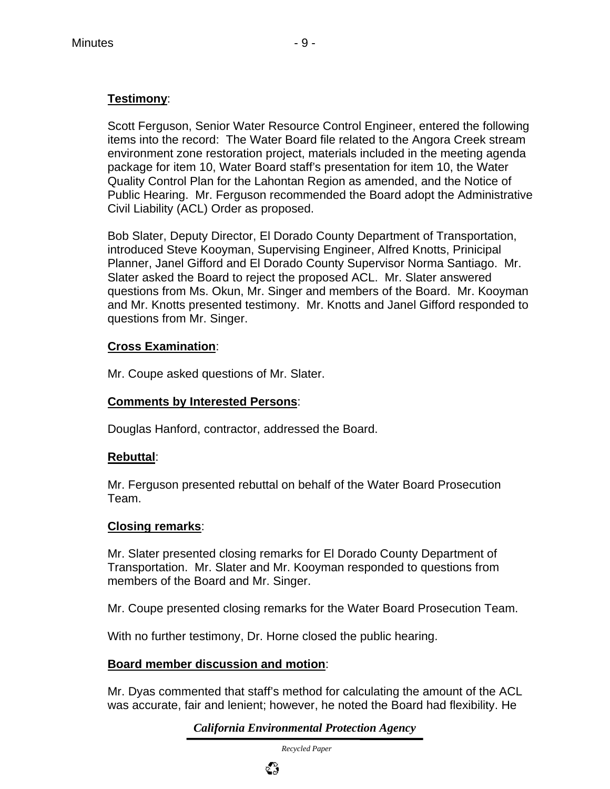### **Testimony**:

 Scott Ferguson, Senior Water Resource Control Engineer, entered the following items into the record: The Water Board file related to the Angora Creek stream environment zone restoration project, materials included in the meeting agenda package for item 10, Water Board staff's presentation for item 10, the Water Quality Control Plan for the Lahontan Region as amended, and the Notice of Public Hearing. Mr. Ferguson recommended the Board adopt the Administrative Civil Liability (ACL) Order as proposed.

 Bob Slater, Deputy Director, El Dorado County Department of Transportation, introduced Steve Kooyman, Supervising Engineer, Alfred Knotts, Prinicipal Planner, Janel Gifford and El Dorado County Supervisor Norma Santiago. Mr. Slater asked the Board to reject the proposed ACL. Mr. Slater answered questions from Ms. Okun, Mr. Singer and members of the Board. Mr. Kooyman and Mr. Knotts presented testimony. Mr. Knotts and Janel Gifford responded to questions from Mr. Singer.

#### **Cross Examination**:

Mr. Coupe asked questions of Mr. Slater.

#### **Comments by Interested Persons**:

Douglas Hanford, contractor, addressed the Board.

#### **Rebuttal**:

 Mr. Ferguson presented rebuttal on behalf of the Water Board Prosecution Team.

#### **Closing remarks**:

 Mr. Slater presented closing remarks for El Dorado County Department of Transportation. Mr. Slater and Mr. Kooyman responded to questions from members of the Board and Mr. Singer.

Mr. Coupe presented closing remarks for the Water Board Prosecution Team.

With no further testimony, Dr. Horne closed the public hearing.

#### **Board member discussion and motion**:

 Mr. Dyas commented that staff's method for calculating the amount of the ACL was accurate, fair and lenient; however, he noted the Board had flexibility. He

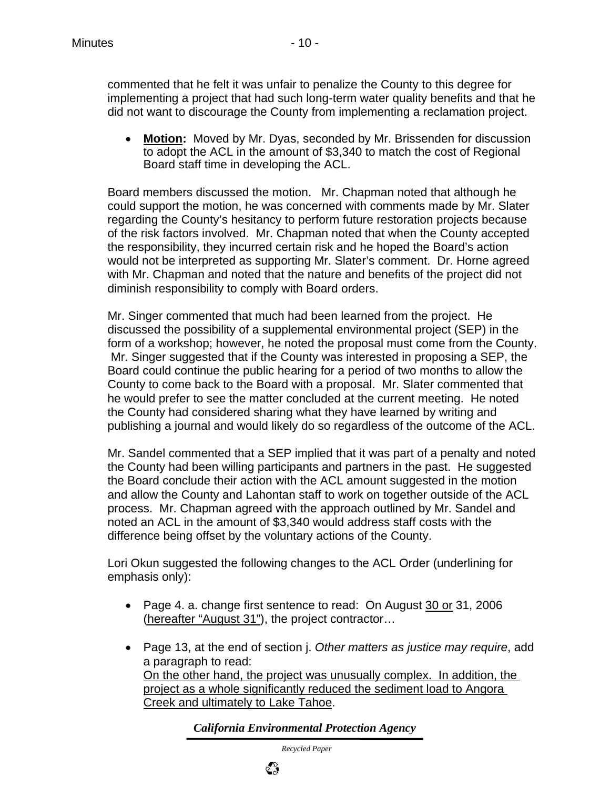commented that he felt it was unfair to penalize the County to this degree for implementing a project that had such long-term water quality benefits and that he did not want to discourage the County from implementing a reclamation project.

• **Motion:** Moved by Mr. Dyas, seconded by Mr. Brissenden for discussion to adopt the ACL in the amount of \$3,340 to match the cost of Regional Board staff time in developing the ACL.

 Board members discussed the motion. Mr. Chapman noted that although he could support the motion, he was concerned with comments made by Mr. Slater regarding the County's hesitancy to perform future restoration projects because of the risk factors involved. Mr. Chapman noted that when the County accepted the responsibility, they incurred certain risk and he hoped the Board's action would not be interpreted as supporting Mr. Slater's comment. Dr. Horne agreed with Mr. Chapman and noted that the nature and benefits of the project did not diminish responsibility to comply with Board orders.

 Mr. Singer commented that much had been learned from the project. He discussed the possibility of a supplemental environmental project (SEP) in the form of a workshop; however, he noted the proposal must come from the County. Mr. Singer suggested that if the County was interested in proposing a SEP, the Board could continue the public hearing for a period of two months to allow the County to come back to the Board with a proposal. Mr. Slater commented that he would prefer to see the matter concluded at the current meeting. He noted the County had considered sharing what they have learned by writing and publishing a journal and would likely do so regardless of the outcome of the ACL.

 Mr. Sandel commented that a SEP implied that it was part of a penalty and noted the County had been willing participants and partners in the past. He suggested the Board conclude their action with the ACL amount suggested in the motion and allow the County and Lahontan staff to work on together outside of the ACL process. Mr. Chapman agreed with the approach outlined by Mr. Sandel and noted an ACL in the amount of \$3,340 would address staff costs with the difference being offset by the voluntary actions of the County.

 Lori Okun suggested the following changes to the ACL Order (underlining for emphasis only):

- Page 4. a. change first sentence to read: On August 30 or 31, 2006 (hereafter "August 31"), the project contractor…
- Page 13, at the end of section j. *Other matters as justice may require*, add a paragraph to read: On the other hand, the project was unusually complex. In addition, the project as a whole significantly reduced the sediment load to Angora Creek and ultimately to Lake Tahoe.

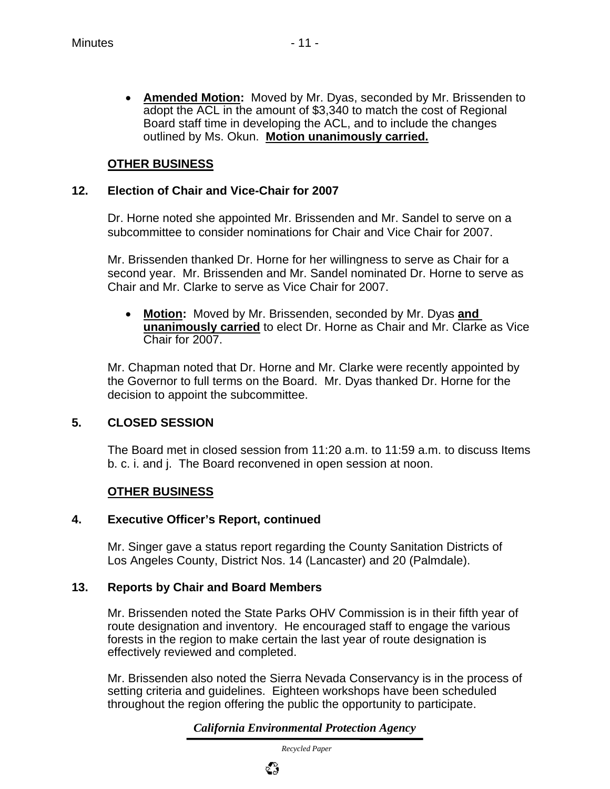• **Amended Motion:** Moved by Mr. Dyas, seconded by Mr. Brissenden to adopt the ACL in the amount of \$3,340 to match the cost of Regional Board staff time in developing the ACL, and to include the changes outlined by Ms. Okun. **Motion unanimously carried.**

#### **OTHER BUSINESS**

#### **12. Election of Chair and Vice-Chair for 2007**

 Dr. Horne noted she appointed Mr. Brissenden and Mr. Sandel to serve on a subcommittee to consider nominations for Chair and Vice Chair for 2007.

 Mr. Brissenden thanked Dr. Horne for her willingness to serve as Chair for a second year. Mr. Brissenden and Mr. Sandel nominated Dr. Horne to serve as Chair and Mr. Clarke to serve as Vice Chair for 2007.

• **Motion:** Moved by Mr. Brissenden, seconded by Mr. Dyas **and unanimously carried** to elect Dr. Horne as Chair and Mr. Clarke as Vice Chair for 2007.

 Mr. Chapman noted that Dr. Horne and Mr. Clarke were recently appointed by the Governor to full terms on the Board. Mr. Dyas thanked Dr. Horne for the decision to appoint the subcommittee.

#### **5. CLOSED SESSION**

The Board met in closed session from 11:20 a.m. to 11:59 a.m. to discuss Items b. c. i. and j. The Board reconvened in open session at noon.

#### **OTHER BUSINESS**

#### **4. Executive Officer's Report, continued**

 Mr. Singer gave a status report regarding the County Sanitation Districts of Los Angeles County, District Nos. 14 (Lancaster) and 20 (Palmdale).

#### **13. Reports by Chair and Board Members**

 Mr. Brissenden noted the State Parks OHV Commission is in their fifth year of route designation and inventory. He encouraged staff to engage the various forests in the region to make certain the last year of route designation is effectively reviewed and completed.

 Mr. Brissenden also noted the Sierra Nevada Conservancy is in the process of setting criteria and guidelines. Eighteen workshops have been scheduled throughout the region offering the public the opportunity to participate.